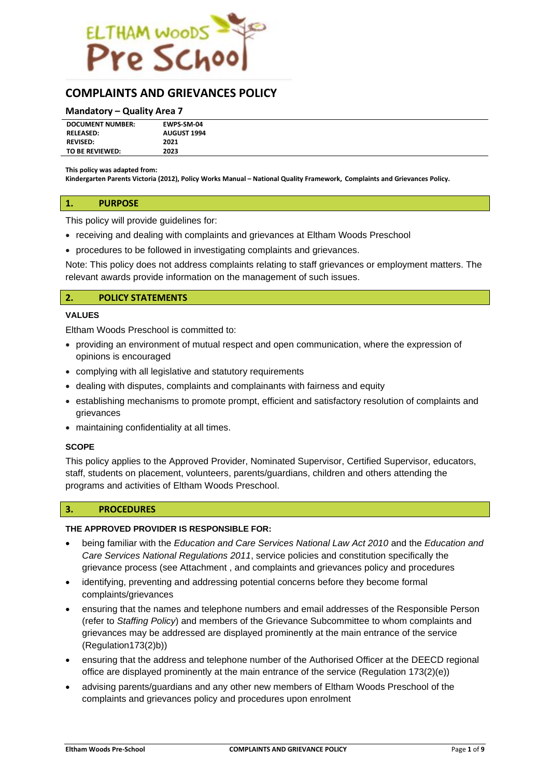

# **COMPLAINTS AND GRIEVANCES POLICY**

#### **Mandatory – Quality Area 7**

| <b>DOCUMENT NUMBER:</b> | EWPS-SM-04         |
|-------------------------|--------------------|
| <b>RELEASED:</b>        | <b>AUGUST 1994</b> |
| <b>REVISED:</b>         | 2021               |
| TO BE REVIEWED:         | 2023               |
|                         |                    |

**This policy was adapted from:**

**Kindergarten Parents Victoria (2012), Policy Works Manual – National Quality Framework, Complaints and Grievances Policy.**

#### **1. PURPOSE**

This policy will provide guidelines for:

- receiving and dealing with complaints and grievances at Eltham Woods Preschool
- procedures to be followed in investigating complaints and grievances.

Note: This policy does not address complaints relating to staff grievances or employment matters. The relevant awards provide information on the management of such issues.

### **2. POLICY STATEMENTS**

#### **VALUES**

Eltham Woods Preschool is committed to:

- providing an environment of mutual respect and open communication, where the expression of opinions is encouraged
- complying with all legislative and statutory requirements
- dealing with disputes, complaints and complainants with fairness and equity
- establishing mechanisms to promote prompt, efficient and satisfactory resolution of complaints and grievances
- maintaining confidentiality at all times.

#### **SCOPE**

This policy applies to the Approved Provider, Nominated Supervisor, Certified Supervisor, educators, staff, students on placement, volunteers, parents/guardians, children and others attending the programs and activities of Eltham Woods Preschool.

#### **3. PROCEDURES**

#### **THE APPROVED PROVIDER IS RESPONSIBLE FOR:**

- being familiar with the *Education and Care Services National Law Act 2010* and the *Education and Care Services National Regulations 2011*, service policies and constitution specifically the grievance process (see Attachment , and complaints and grievances policy and procedures
- identifying, preventing and addressing potential concerns before they become formal complaints/grievances
- ensuring that the names and telephone numbers and email addresses of the Responsible Person (refer to *Staffing Policy*) and members of the Grievance Subcommittee to whom complaints and grievances may be addressed are displayed prominently at the main entrance of the service (Regulation173(2)b))
- ensuring that the address and telephone number of the Authorised Officer at the DEECD regional office are displayed prominently at the main entrance of the service (Regulation 173(2)(e))
- advising parents/guardians and any other new members of Eltham Woods Preschool of the complaints and grievances policy and procedures upon enrolment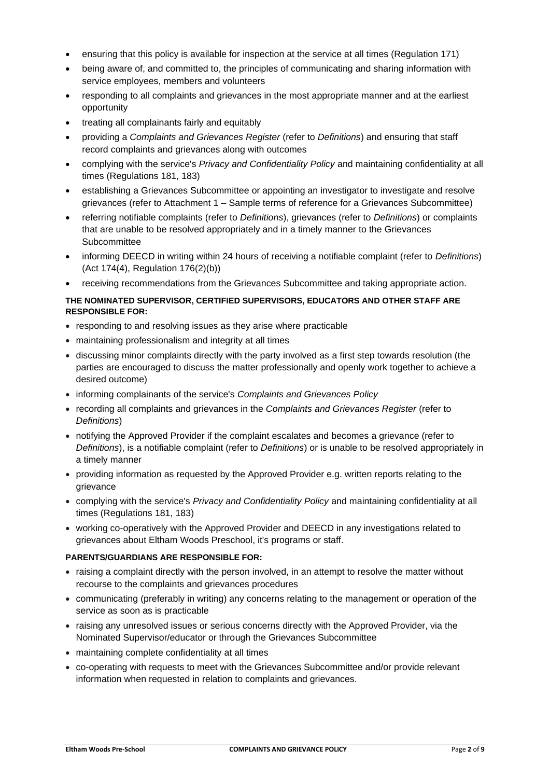- ensuring that this policy is available for inspection at the service at all times (Regulation 171)
- being aware of, and committed to, the principles of communicating and sharing information with service employees, members and volunteers
- responding to all complaints and grievances in the most appropriate manner and at the earliest opportunity
- treating all complainants fairly and equitably
- providing a *Complaints and Grievances Register* (refer to *Definitions*) and ensuring that staff record complaints and grievances along with outcomes
- complying with the service's *Privacy and Confidentiality Policy* and maintaining confidentiality at all times (Regulations 181, 183)
- establishing a Grievances Subcommittee or appointing an investigator to investigate and resolve grievances (refer to Attachment 1 – Sample terms of reference for a Grievances Subcommittee)
- referring notifiable complaints (refer to *Definitions*), grievances (refer to *Definitions*) or complaints that are unable to be resolved appropriately and in a timely manner to the Grievances Subcommittee
- informing DEECD in writing within 24 hours of receiving a notifiable complaint (refer to *Definitions*) (Act 174(4), Regulation 176(2)(b))
- receiving recommendations from the Grievances Subcommittee and taking appropriate action.

## **THE NOMINATED SUPERVISOR, CERTIFIED SUPERVISORS, EDUCATORS AND OTHER STAFF ARE RESPONSIBLE FOR:**

- responding to and resolving issues as they arise where practicable
- maintaining professionalism and integrity at all times
- discussing minor complaints directly with the party involved as a first step towards resolution (the parties are encouraged to discuss the matter professionally and openly work together to achieve a desired outcome)
- informing complainants of the service's *Complaints and Grievances Policy*
- recording all complaints and grievances in the *Complaints and Grievances Register* (refer to *Definitions*)
- notifying the Approved Provider if the complaint escalates and becomes a grievance (refer to *Definitions*), is a notifiable complaint (refer to *Definitions*) or is unable to be resolved appropriately in a timely manner
- providing information as requested by the Approved Provider e.g. written reports relating to the grievance
- complying with the service's *Privacy and Confidentiality Policy* and maintaining confidentiality at all times (Regulations 181, 183)
- working co-operatively with the Approved Provider and DEECD in any investigations related to grievances about Eltham Woods Preschool, it's programs or staff.

## **PARENTS/GUARDIANS ARE RESPONSIBLE FOR:**

- raising a complaint directly with the person involved, in an attempt to resolve the matter without recourse to the complaints and grievances procedures
- communicating (preferably in writing) any concerns relating to the management or operation of the service as soon as is practicable
- raising any unresolved issues or serious concerns directly with the Approved Provider, via the Nominated Supervisor/educator or through the Grievances Subcommittee
- maintaining complete confidentiality at all times
- co-operating with requests to meet with the Grievances Subcommittee and/or provide relevant information when requested in relation to complaints and grievances.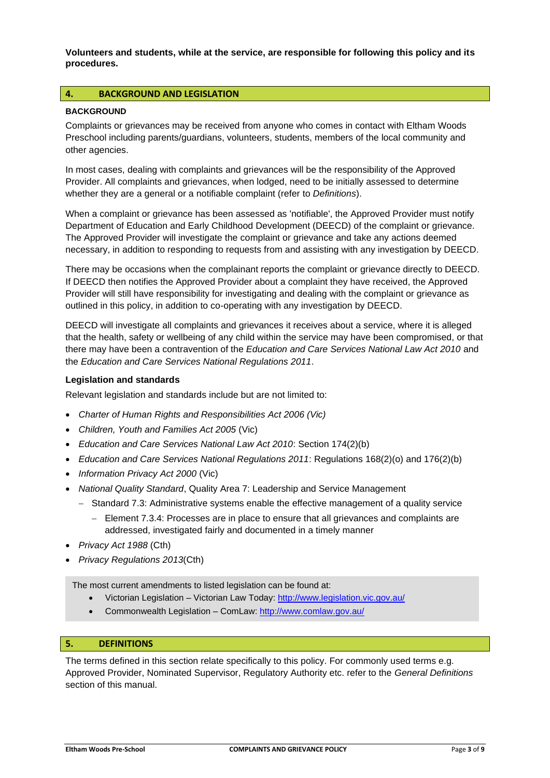**Volunteers and students, while at the service, are responsible for following this policy and its procedures.** 

## **4. BACKGROUND AND LEGISLATION**

#### **BACKGROUND**

Complaints or grievances may be received from anyone who comes in contact with Eltham Woods Preschool including parents/guardians, volunteers, students, members of the local community and other agencies.

In most cases, dealing with complaints and grievances will be the responsibility of the Approved Provider. All complaints and grievances, when lodged, need to be initially assessed to determine whether they are a general or a notifiable complaint (refer to *Definitions*).

When a complaint or grievance has been assessed as 'notifiable', the Approved Provider must notify Department of Education and Early Childhood Development (DEECD) of the complaint or grievance. The Approved Provider will investigate the complaint or grievance and take any actions deemed necessary, in addition to responding to requests from and assisting with any investigation by DEECD.

There may be occasions when the complainant reports the complaint or grievance directly to DEECD. If DEECD then notifies the Approved Provider about a complaint they have received, the Approved Provider will still have responsibility for investigating and dealing with the complaint or grievance as outlined in this policy, in addition to co-operating with any investigation by DEECD.

DEECD will investigate all complaints and grievances it receives about a service, where it is alleged that the health, safety or wellbeing of any child within the service may have been compromised, or that there may have been a contravention of the *Education and Care Services National Law Act 2010* and the *Education and Care Services National Regulations 2011*.

#### **Legislation and standards**

Relevant legislation and standards include but are not limited to:

- *Charter of Human Rights and Responsibilities Act 2006 (Vic)*
- *Children, Youth and Families Act 2005* (Vic)
- *Education and Care Services National Law Act 2010*: Section 174(2)(b)
- *Education and Care Services National Regulations 2011*: Regulations 168(2)(o) and 176(2)(b)
- *Information Privacy Act 2000* (Vic)
- *National Quality Standard*, Quality Area 7: Leadership and Service Management
	- − Standard 7.3: Administrative systems enable the effective management of a quality service
		- − Element 7.3.4: Processes are in place to ensure that all grievances and complaints are addressed, investigated fairly and documented in a timely manner
- *Privacy Act 1988* (Cth)
- *Privacy Regulations 2013*(Cth)

The most current amendments to listed legislation can be found at:

- Victorian Legislation Victorian Law Today:<http://www.legislation.vic.gov.au/>
- Commonwealth Legislation ComLaw:<http://www.comlaw.gov.au/>

## **5. DEFINITIONS**

The terms defined in this section relate specifically to this policy. For commonly used terms e.g. Approved Provider, Nominated Supervisor, Regulatory Authority etc. refer to the *General Definitions* section of this manual.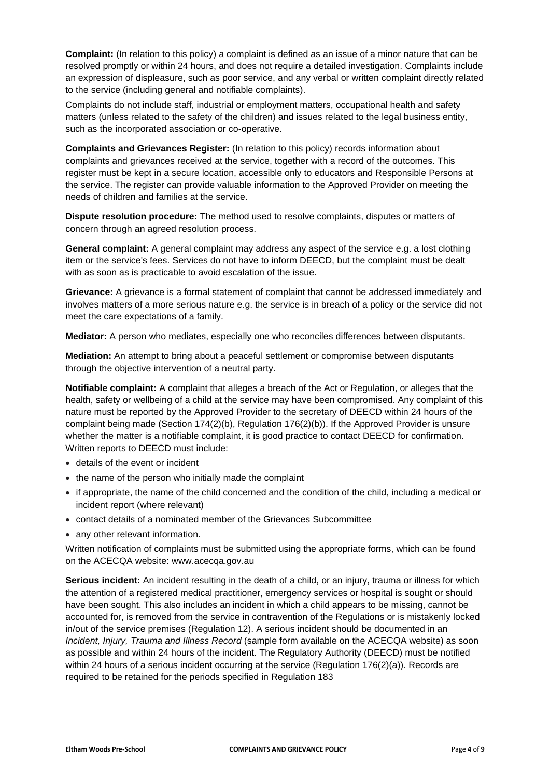**Complaint:** (In relation to this policy) a complaint is defined as an issue of a minor nature that can be resolved promptly or within 24 hours, and does not require a detailed investigation. Complaints include an expression of displeasure, such as poor service, and any verbal or written complaint directly related to the service (including general and notifiable complaints).

Complaints do not include staff, industrial or employment matters, occupational health and safety matters (unless related to the safety of the children) and issues related to the legal business entity, such as the incorporated association or co-operative.

**Complaints and Grievances Register:** (In relation to this policy) records information about complaints and grievances received at the service, together with a record of the outcomes. This register must be kept in a secure location, accessible only to educators and Responsible Persons at the service. The register can provide valuable information to the Approved Provider on meeting the needs of children and families at the service.

**Dispute resolution procedure:** The method used to resolve complaints, disputes or matters of concern through an agreed resolution process.

**General complaint:** A general complaint may address any aspect of the service e.g. a lost clothing item or the service's fees. Services do not have to inform DEECD, but the complaint must be dealt with as soon as is practicable to avoid escalation of the issue.

**Grievance:** A grievance is a formal statement of complaint that cannot be addressed immediately and involves matters of a more serious nature e.g. the service is in breach of a policy or the service did not meet the care expectations of a family.

**Mediator:** A person who mediates, especially one who reconciles differences between disputants.

**Mediation:** An attempt to bring about a peaceful settlement or compromise between disputants through the objective intervention of a neutral party.

**Notifiable complaint:** A complaint that alleges a breach of the Act or Regulation, or alleges that the health, safety or wellbeing of a child at the service may have been compromised. Any complaint of this nature must be reported by the Approved Provider to the secretary of DEECD within 24 hours of the complaint being made (Section 174(2)(b), Regulation 176(2)(b)). If the Approved Provider is unsure whether the matter is a notifiable complaint, it is good practice to contact DEECD for confirmation. Written reports to DEECD must include:

- details of the event or incident
- the name of the person who initially made the complaint
- if appropriate, the name of the child concerned and the condition of the child, including a medical or incident report (where relevant)
- contact details of a nominated member of the Grievances Subcommittee
- any other relevant information.

Written notification of complaints must be submitted using the appropriate forms, which can be found on the ACECQA website: www.acecqa.gov.au

**Serious incident:** An incident resulting in the death of a child, or an injury, trauma or illness for which the attention of a registered medical practitioner, emergency services or hospital is sought or should have been sought. This also includes an incident in which a child appears to be missing, cannot be accounted for, is removed from the service in contravention of the Regulations or is mistakenly locked in/out of the service premises (Regulation 12). A serious incident should be documented in an *Incident, Injury, Trauma and Illness Record* (sample form available on the ACECQA website) as soon as possible and within 24 hours of the incident. The Regulatory Authority (DEECD) must be notified within 24 hours of a serious incident occurring at the service (Regulation 176(2)(a)). Records are required to be retained for the periods specified in Regulation 183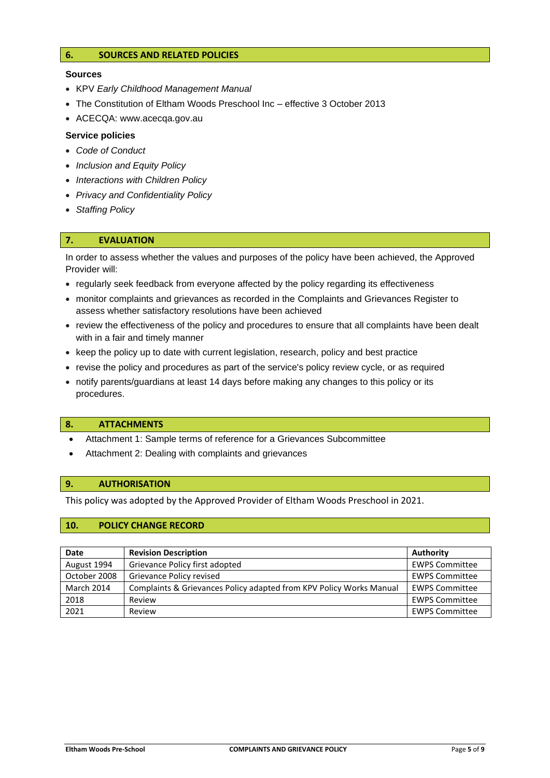## **6. SOURCES AND RELATED POLICIES**

#### **Sources**

- KPV *Early Childhood Management Manual*
- The Constitution of Eltham Woods Preschool Inc effective 3 October 2013
- ACECQA: www.acecqa.gov.au

#### **Service policies**

- *Code of Conduct*
- *Inclusion and Equity Policy*
- *Interactions with Children Policy*
- *Privacy and Confidentiality Policy*
- *Staffing Policy*

## **7. EVALUATION**

In order to assess whether the values and purposes of the policy have been achieved, the Approved Provider will:

- regularly seek feedback from everyone affected by the policy regarding its effectiveness
- monitor complaints and grievances as recorded in the Complaints and Grievances Register to assess whether satisfactory resolutions have been achieved
- review the effectiveness of the policy and procedures to ensure that all complaints have been dealt with in a fair and timely manner
- keep the policy up to date with current legislation, research, policy and best practice
- revise the policy and procedures as part of the service's policy review cycle, or as required
- notify parents/guardians at least 14 days before making any changes to this policy or its procedures.

#### **8. ATTACHMENTS**

- Attachment 1: Sample terms of reference for a Grievances Subcommittee
- Attachment 2: Dealing with complaints and grievances

#### **9. AUTHORISATION**

This policy was adopted by the Approved Provider of Eltham Woods Preschool in 2021.

## **10. POLICY CHANGE RECORD**

| Date              | <b>Revision Description</b>                                         | Authority             |
|-------------------|---------------------------------------------------------------------|-----------------------|
| August 1994       | Grievance Policy first adopted                                      | <b>EWPS Committee</b> |
| October 2008      | Grievance Policy revised                                            | <b>EWPS Committee</b> |
| <b>March 2014</b> | Complaints & Grievances Policy adapted from KPV Policy Works Manual | <b>EWPS Committee</b> |
| 2018              | Review                                                              | <b>EWPS Committee</b> |
| 2021              | Review                                                              | <b>EWPS Committee</b> |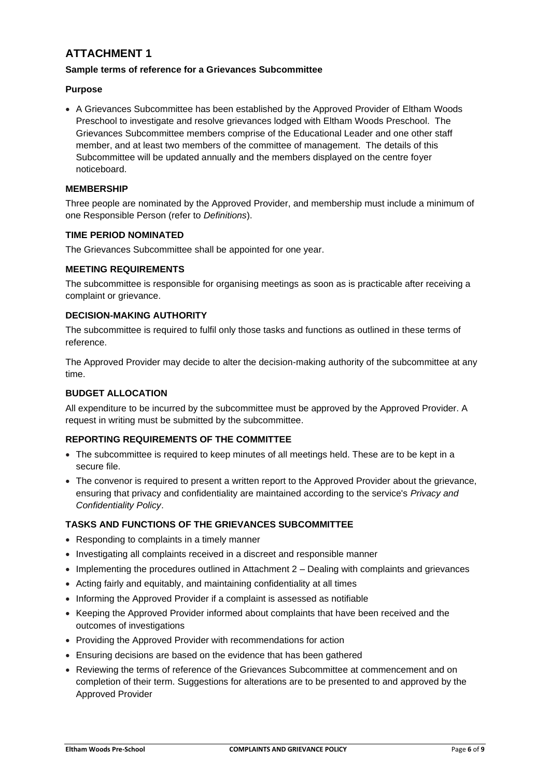# **ATTACHMENT 1**

## **Sample terms of reference for a Grievances Subcommittee**

## **Purpose**

• A Grievances Subcommittee has been established by the Approved Provider of Eltham Woods Preschool to investigate and resolve grievances lodged with Eltham Woods Preschool. The Grievances Subcommittee members comprise of the Educational Leader and one other staff member, and at least two members of the committee of management. The details of this Subcommittee will be updated annually and the members displayed on the centre foyer noticeboard.

## **MEMBERSHIP**

Three people are nominated by the Approved Provider, and membership must include a minimum of one Responsible Person (refer to *Definitions*).

#### **TIME PERIOD NOMINATED**

The Grievances Subcommittee shall be appointed for one year.

## **MEETING REQUIREMENTS**

The subcommittee is responsible for organising meetings as soon as is practicable after receiving a complaint or grievance.

# **DECISION-MAKING AUTHORITY**

The subcommittee is required to fulfil only those tasks and functions as outlined in these terms of reference.

The Approved Provider may decide to alter the decision-making authority of the subcommittee at any time.

## **BUDGET ALLOCATION**

All expenditure to be incurred by the subcommittee must be approved by the Approved Provider. A request in writing must be submitted by the subcommittee.

## **REPORTING REQUIREMENTS OF THE COMMITTEE**

- The subcommittee is required to keep minutes of all meetings held. These are to be kept in a secure file.
- The convenor is required to present a written report to the Approved Provider about the grievance, ensuring that privacy and confidentiality are maintained according to the service's *Privacy and Confidentiality Policy*.

## **TASKS AND FUNCTIONS OF THE GRIEVANCES SUBCOMMITTEE**

- Responding to complaints in a timely manner
- Investigating all complaints received in a discreet and responsible manner
- Implementing the procedures outlined in Attachment 2 Dealing with complaints and grievances
- Acting fairly and equitably, and maintaining confidentiality at all times
- Informing the Approved Provider if a complaint is assessed as notifiable
- Keeping the Approved Provider informed about complaints that have been received and the outcomes of investigations
- Providing the Approved Provider with recommendations for action
- Ensuring decisions are based on the evidence that has been gathered
- Reviewing the terms of reference of the Grievances Subcommittee at commencement and on completion of their term. Suggestions for alterations are to be presented to and approved by the Approved Provider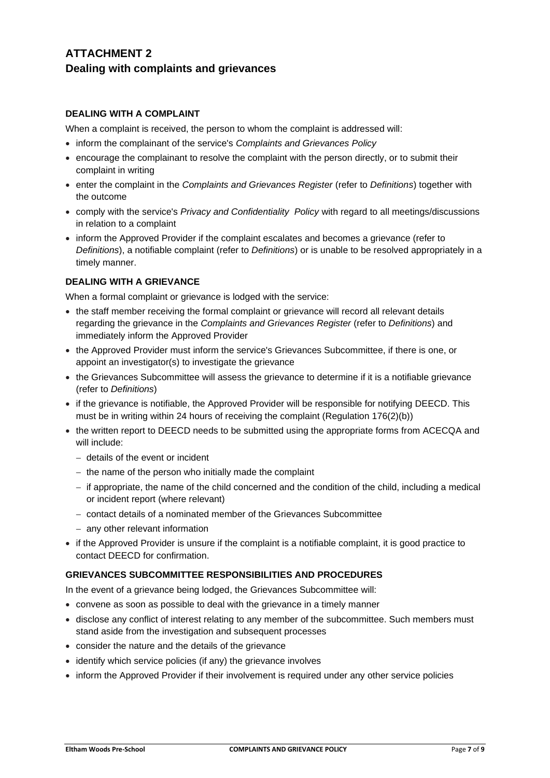# **ATTACHMENT 2 Dealing with complaints and grievances**

# **DEALING WITH A COMPLAINT**

When a complaint is received, the person to whom the complaint is addressed will:

- inform the complainant of the service's *Complaints and Grievances Policy*
- encourage the complainant to resolve the complaint with the person directly, or to submit their complaint in writing
- enter the complaint in the *Complaints and Grievances Register* (refer to *Definitions*) together with the outcome
- comply with the service's *Privacy and Confidentiality Policy* with regard to all meetings/discussions in relation to a complaint
- inform the Approved Provider if the complaint escalates and becomes a grievance (refer to *Definitions*), a notifiable complaint (refer to *Definitions*) or is unable to be resolved appropriately in a timely manner.

## **DEALING WITH A GRIEVANCE**

When a formal complaint or grievance is lodged with the service:

- the staff member receiving the formal complaint or grievance will record all relevant details regarding the grievance in the *Complaints and Grievances Register* (refer to *Definitions*) and immediately inform the Approved Provider
- the Approved Provider must inform the service's Grievances Subcommittee, if there is one, or appoint an investigator(s) to investigate the grievance
- the Grievances Subcommittee will assess the grievance to determine if it is a notifiable grievance (refer to *Definitions*)
- if the grievance is notifiable, the Approved Provider will be responsible for notifying DEECD. This must be in writing within 24 hours of receiving the complaint (Regulation 176(2)(b))
- the written report to DEECD needs to be submitted using the appropriate forms from ACECQA and will include:
	- − details of the event or incident
	- − the name of the person who initially made the complaint
	- − if appropriate, the name of the child concerned and the condition of the child, including a medical or incident report (where relevant)
	- − contact details of a nominated member of the Grievances Subcommittee
	- − any other relevant information
- if the Approved Provider is unsure if the complaint is a notifiable complaint, it is good practice to contact DEECD for confirmation.

## **GRIEVANCES SUBCOMMITTEE RESPONSIBILITIES AND PROCEDURES**

In the event of a grievance being lodged, the Grievances Subcommittee will:

- convene as soon as possible to deal with the grievance in a timely manner
- disclose any conflict of interest relating to any member of the subcommittee. Such members must stand aside from the investigation and subsequent processes
- consider the nature and the details of the grievance
- identify which service policies (if any) the grievance involves
- inform the Approved Provider if their involvement is required under any other service policies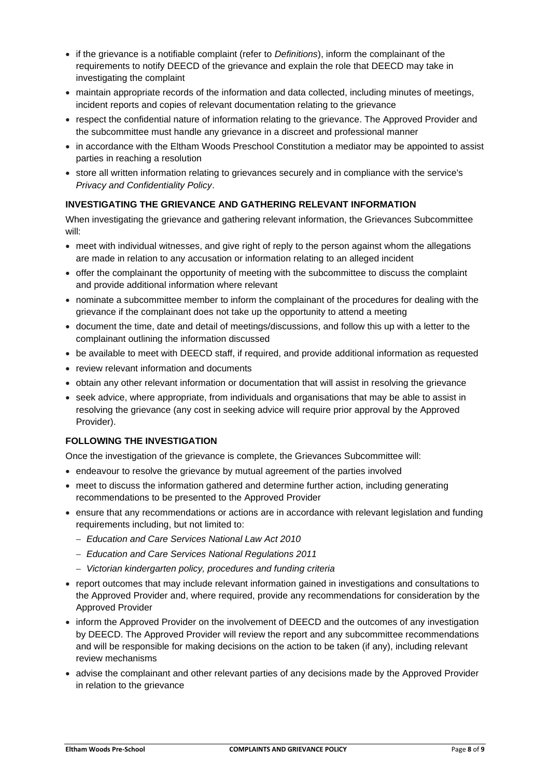- if the grievance is a notifiable complaint (refer to *Definitions*), inform the complainant of the requirements to notify DEECD of the grievance and explain the role that DEECD may take in investigating the complaint
- maintain appropriate records of the information and data collected, including minutes of meetings, incident reports and copies of relevant documentation relating to the grievance
- respect the confidential nature of information relating to the grievance. The Approved Provider and the subcommittee must handle any grievance in a discreet and professional manner
- in accordance with the Eltham Woods Preschool Constitution a mediator may be appointed to assist parties in reaching a resolution
- store all written information relating to grievances securely and in compliance with the service's *Privacy and Confidentiality Policy*.

## **INVESTIGATING THE GRIEVANCE AND GATHERING RELEVANT INFORMATION**

When investigating the grievance and gathering relevant information, the Grievances Subcommittee will:

- meet with individual witnesses, and give right of reply to the person against whom the allegations are made in relation to any accusation or information relating to an alleged incident
- offer the complainant the opportunity of meeting with the subcommittee to discuss the complaint and provide additional information where relevant
- nominate a subcommittee member to inform the complainant of the procedures for dealing with the grievance if the complainant does not take up the opportunity to attend a meeting
- document the time, date and detail of meetings/discussions, and follow this up with a letter to the complainant outlining the information discussed
- be available to meet with DEECD staff, if required, and provide additional information as requested
- review relevant information and documents
- obtain any other relevant information or documentation that will assist in resolving the grievance
- seek advice, where appropriate, from individuals and organisations that may be able to assist in resolving the grievance (any cost in seeking advice will require prior approval by the Approved Provider).

## **FOLLOWING THE INVESTIGATION**

Once the investigation of the grievance is complete, the Grievances Subcommittee will:

- endeavour to resolve the grievance by mutual agreement of the parties involved
- meet to discuss the information gathered and determine further action, including generating recommendations to be presented to the Approved Provider
- ensure that any recommendations or actions are in accordance with relevant legislation and funding requirements including, but not limited to:
	- − *Education and Care Services National Law Act 2010*
	- − *Education and Care Services National Regulations 2011*
	- − *Victorian kindergarten policy, procedures and funding criteria*
- report outcomes that may include relevant information gained in investigations and consultations to the Approved Provider and, where required, provide any recommendations for consideration by the Approved Provider
- inform the Approved Provider on the involvement of DEECD and the outcomes of any investigation by DEECD. The Approved Provider will review the report and any subcommittee recommendations and will be responsible for making decisions on the action to be taken (if any), including relevant review mechanisms
- advise the complainant and other relevant parties of any decisions made by the Approved Provider in relation to the grievance